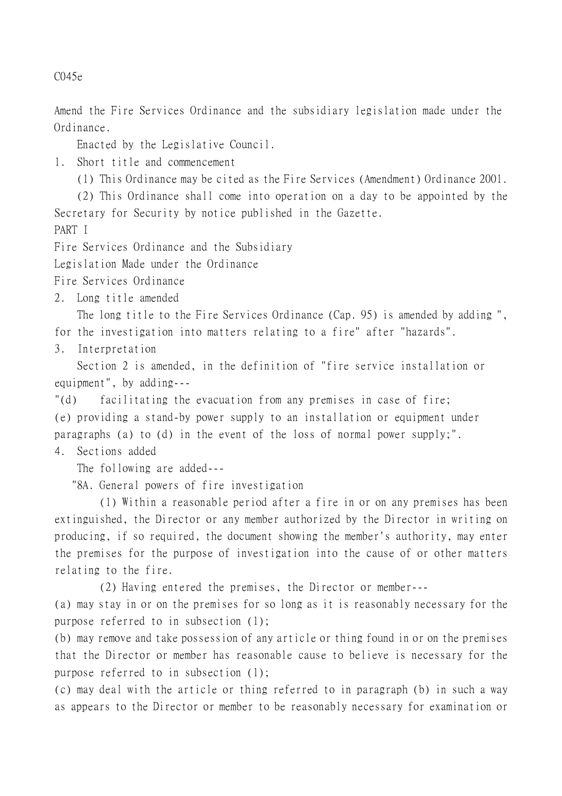C045e

Amend the Fire Services Ordinance and the subsidiary legislation made under the Ordinance.

Enacted by the Legislative Council.

1. Short title and commencement

(1) This Ordinance may be cited as the Fire Services (Amendment) Ordinance 2001.

(2) This Ordinance shall come into operation on a day to be appointed by the Secretary for Security by notice published in the Gazette.

PART I

Fire Services Ordinance and the Subsidiary

Legislation Made under the Ordinance

Fire Services Ordinance

2. Long title amended

The long title to the Fire Services Ordinance (Cap. 95) is amended by adding ", for the investigation into matters relating to a fire" after "hazards".

3. Interpretation

Section 2 is amended, in the definition of "fire service installation or equipment", by adding---

"(d) facilitating the evacuation from any premises in case of fire; (e) providing a stand-by power supply to an installation or equipment under paragraphs (a) to (d) in the event of the loss of normal power supply;".

4. Sections added

The following are added---

"8A. General powers of fire investigation

(1) Within a reasonable period after a fire in or on any premises has been extinguished, the Director or any member authorized by the Director in writing on producing, if so required, the document showing the member's authority, may enter the premises for the purpose of investigation into the cause of or other matters relating to the fire.

(2) Having entered the premises, the Director or member---

(a) may stay in or on the premises for so long as it is reasonably necessary for the purpose referred to in subsection (1);

(b) may remove and take possession of any article or thing found in or on the premises that the Director or member has reasonable cause to believe is necessary for the purpose referred to in subsection (1);

(c) may deal with the article or thing referred to in paragraph (b) in such a way as appears to the Director or member to be reasonably necessary for examination or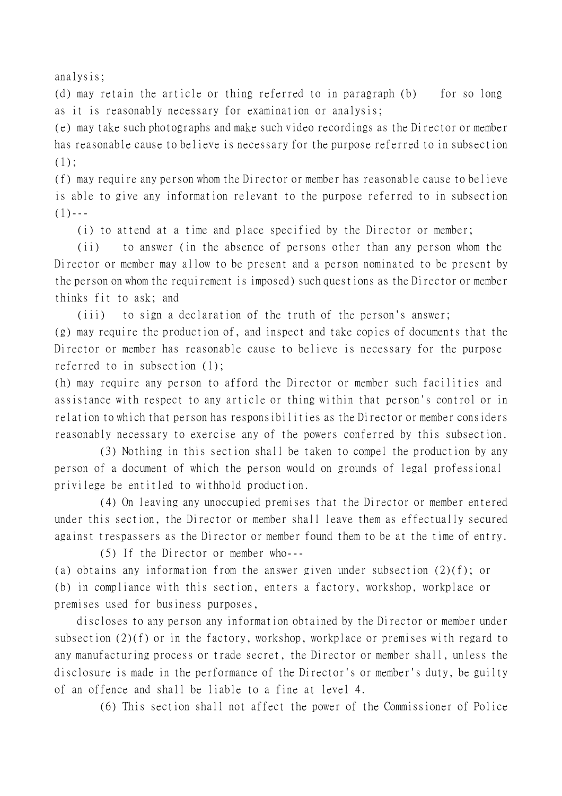analysis;

(d) may retain the article or thing referred to in paragraph (b) for so long as it is reasonably necessary for examination or analysis;

(e) may take such photographs and make such video recordings as the Director or member has reasonable cause to believe is necessary for the purpose referred to in subsection  $(1)$ :

(f) may require any person whom the Director or member has reasonable cause to believe is able to give any information relevant to the purpose referred to in subsection  $(1)$  - - -

(i) to attend at a time and place specified by the Director or member;

(ii) to answer (in the absence of persons other than any person whom the Director or member may allow to be present and a person nominated to be present by the person on whom the requirement is imposed) such questions as the Director or member thinks fit to ask; and

(iii) to sign a declaration of the truth of the person's answer;

(g) may require the production of, and inspect and take copies of documents that the Director or member has reasonable cause to believe is necessary for the purpose referred to in subsection (1);

(h) may require any person to afford the Director or member such facilities and assistance with respect to any article or thing within that person's control or in relation to which that person has responsibilities as the Director or member considers reasonably necessary to exercise any of the powers conferred by this subsection.

(3) Nothing in this section shall be taken to compel the production by any person of a document of which the person would on grounds of legal professional privilege be entitled to withhold production.

(4) On leaving any unoccupied premises that the Director or member entered under this section, the Director or member shall leave them as effectually secured against trespassers as the Director or member found them to be at the time of entry.

(5) If the Director or member who--- (a) obtains any information from the answer given under subsection (2)(f); or (b) in compliance with this section, enters a factory, workshop, workplace or premises used for business purposes,

discloses to any person any information obtained by the Director or member under subsection (2)(f) or in the factory, workshop, workplace or premises with regard to any manufacturing process or trade secret, the Director or member shall, unless the disclosure is made in the performance of the Director's or member's duty, be guilty of an offence and shall be liable to a fine at level 4.

(6) This section shall not affect the power of the Commissioner of Police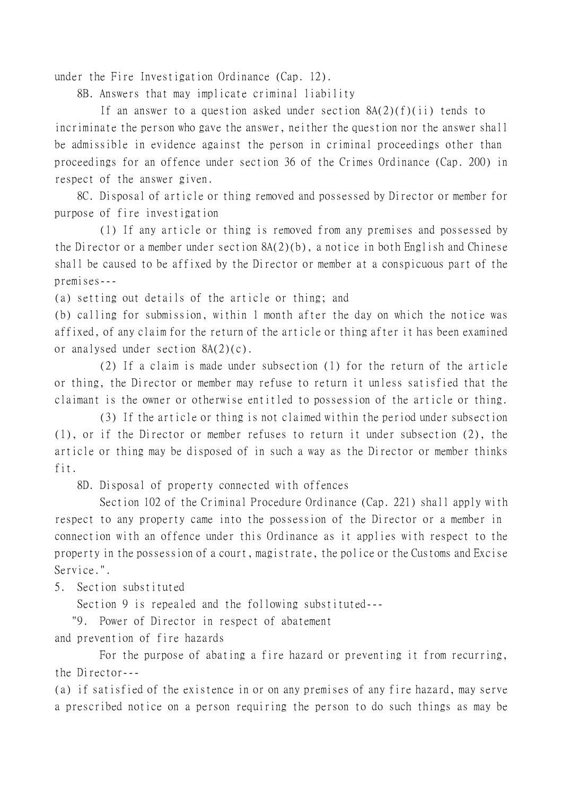under the Fire Investigation Ordinance (Cap. 12).

8B. Answers that may implicate criminal liability

If an answer to a question asked under section  $8A(2)(f)(ii)$  tends to incriminate the person who gave the answer, neither the question nor the answer shall be admissible in evidence against the person in criminal proceedings other than proceedings for an offence under section 36 of the Crimes Ordinance (Cap. 200) in respect of the answer given.

8C. Disposal of article or thing removed and possessed by Director or member for purpose of fire investigation

(1) If any article or thing is removed from any premises and possessed by the Director or a member under section  $8A(2)(b)$ , a notice in both English and Chinese shall be caused to be affixed by the Director or member at a conspicuous part of the premises---

(a) setting out details of the article or thing; and

(b) calling for submission, within 1 month after the day on which the notice was affixed, of any claim for the return of the article or thing after it has been examined or analysed under section 8A(2)(c).

(2) If a claim is made under subsection (1) for the return of the article or thing, the Director or member may refuse to return it unless satisfied that the claimant is the owner or otherwise entitled to possession of the article or thing.

(3) If the article or thing is not claimed within the period under subsection (1), or if the Director or member refuses to return it under subsection (2), the article or thing may be disposed of in such a way as the Director or member thinks fit.

8D. Disposal of property connected with offences

Section 102 of the Criminal Procedure Ordinance (Cap. 221) shall apply with respect to any property came into the possession of the Director or a member in connection with an offence under this Ordinance as it applies with respect to the property in the possession of a court, magistrate, the police or the Customs and Excise Service.".

5. Section substituted

Section 9 is repealed and the following substituted---

"9. Power of Director in respect of abatement

and prevention of fire hazards

For the purpose of abating a fire hazard or preventing it from recurring, the Director---

(a) if satisfied of the existence in or on any premises of any fire hazard, may serve a prescribed notice on a person requiring the person to do such things as may be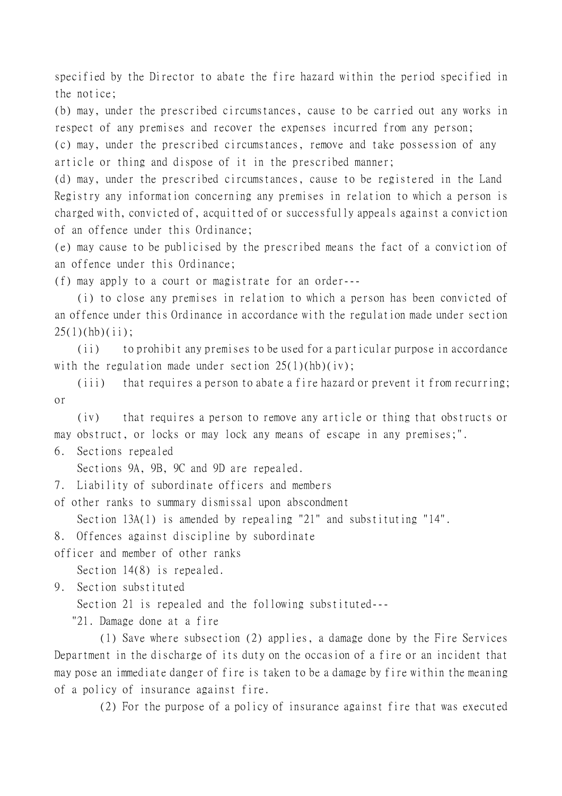specified by the Director to abate the fire hazard within the period specified in the notice;

(b) may, under the prescribed circumstances, cause to be carried out any works in respect of any premises and recover the expenses incurred from any person;

(c) may, under the prescribed circumstances, remove and take possession of any article or thing and dispose of it in the prescribed manner;

(d) may, under the prescribed circumstances, cause to be registered in the Land Registry any information concerning any premises in relation to which a person is charged with, convicted of, acquitted of or successfully appeals against a conviction of an offence under this Ordinance;

(e) may cause to be publicised by the prescribed means the fact of a conviction of an offence under this Ordinance;

(f) may apply to a court or magistrate for an order---

(i) to close any premises in relation to which a person has been convicted of an offence under this Ordinance in accordance with the regulation made under section  $25(1)(hb)(ii)$ ;

(ii) to prohibit any premises to be used for a particular purpose in accordance with the regulation made under section  $25(1)(hb)(iv)$ ;

(iii) that requires a person to abate a fire hazard or prevent it from recurring; or

(iv) that requires a person to remove any article or thing that obstructs or may obstruct, or locks or may lock any means of escape in any premises;".

6. Sections repealed

Sections 9A, 9B, 9C and 9D are repealed.

7. Liability of subordinate officers and members

of other ranks to summary dismissal upon abscondment

Section 13A(1) is amended by repealing "21" and substituting "14".

8. Offences against discipline by subordinate

officer and member of other ranks

Section 14(8) is repealed.

9. Section substituted

Section 21 is repealed and the following substituted---

"21. Damage done at a fire

(1) Save where subsection (2) applies, a damage done by the Fire Services Department in the discharge of its duty on the occasion of a fire or an incident that may pose an immediate danger of fire is taken to be a damage by fire within the meaning of a policy of insurance against fire.

(2) For the purpose of a policy of insurance against fire that was executed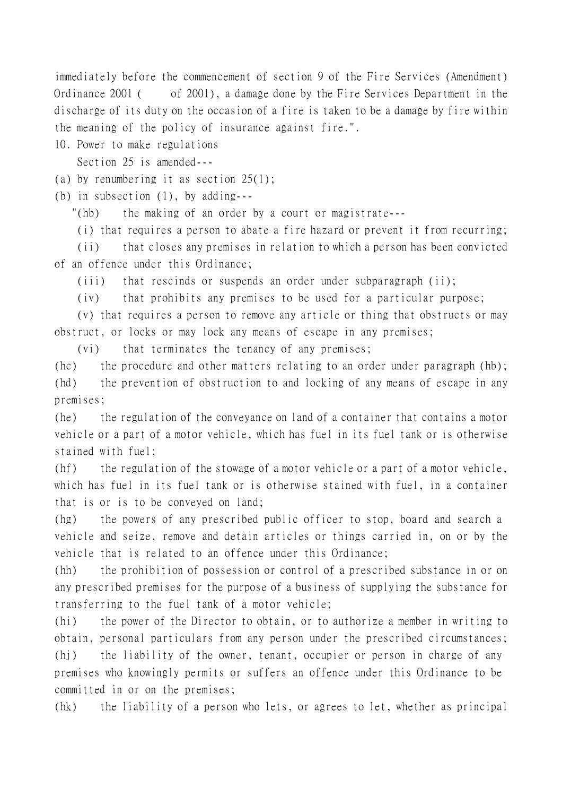immediately before the commencement of section 9 of the Fire Services (Amendment) Ordinance 2001 ( of 2001), a damage done by the Fire Services Department in the discharge of its duty on the occasion of a fire is taken to be a damage by fire within the meaning of the policy of insurance against fire.".

10. Power to make regulations

Section 25 is amended---

(a) by renumbering it as section  $25(1)$ ;

(b) in subsection (1), by adding---

"(hb) the making of an order by a court or magistrate---

(i) that requires a person to abate a fire hazard or prevent it from recurring;

(ii) that closes any premises in relation to which a person has been convicted of an offence under this Ordinance;

(iii) that rescinds or suspends an order under subparagraph (ii);

(iv) that prohibits any premises to be used for a particular purpose;

(v) that requires a person to remove any article or thing that obstructs or may obstruct, or locks or may lock any means of escape in any premises;

(vi) that terminates the tenancy of any premises;

(hc) the procedure and other matters relating to an order under paragraph (hb); (hd) the prevention of obstruction to and locking of any means of escape in any premises;

(he) the regulation of the conveyance on land of a container that contains a motor vehicle or a part of a motor vehicle, which has fuel in its fuel tank or is otherwise stained with fuel;

(hf) the regulation of the stowage of a motor vehicle or a part of a motor vehicle, which has fuel in its fuel tank or is otherwise stained with fuel, in a container that is or is to be conveyed on land;

(hg) the powers of any prescribed public officer to stop, board and search a vehicle and seize, remove and detain articles or things carried in, on or by the vehicle that is related to an offence under this Ordinance;

(hh) the prohibition of possession or control of a prescribed substance in or on any prescribed premises for the purpose of a business of supplying the substance for transferring to the fuel tank of a motor vehicle;

(hi) the power of the Director to obtain, or to authorize a member in writing to obtain, personal particulars from any person under the prescribed circumstances;

(hj) the liability of the owner, tenant, occupier or person in charge of any premises who knowingly permits or suffers an offence under this Ordinance to be committed in or on the premises;

(hk) the liability of a person who lets, or agrees to let, whether as principal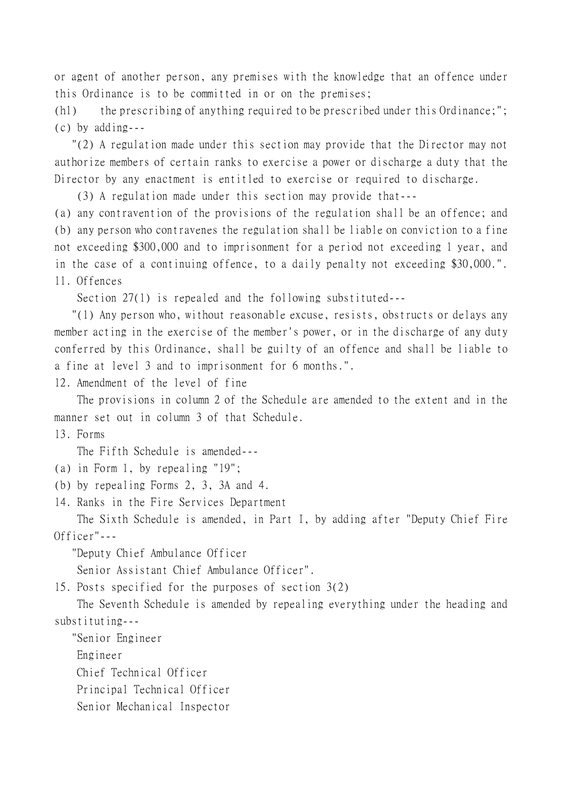or agent of another person, any premises with the knowledge that an offence under this Ordinance is to be committed in or on the premises;

(hl) the prescribing of anything required to be prescribed under this Ordinance;"; (c) by adding---

 "(2) A regulation made under this section may provide that the Director may not authorize members of certain ranks to exercise a power or discharge a duty that the Director by any enactment is entitled to exercise or required to discharge.

(3) A regulation made under this section may provide that---

(a) any contravention of the provisions of the regulation shall be an offence; and (b) any person who contravenes the regulation shall be liable on conviction to a fine not exceeding \$300,000 and to imprisonment for a period not exceeding 1 year, and in the case of a continuing offence, to a daily penalty not exceeding \$30,000.". 11. Offences

Section 27(1) is repealed and the following substituted---

 "(1) Any person who, without reasonable excuse, resists, obstructs or delays any member acting in the exercise of the member's power, or in the discharge of any duty conferred by this Ordinance, shall be guilty of an offence and shall be liable to a fine at level 3 and to imprisonment for 6 months.".

12. Amendment of the level of fine

The provisions in column 2 of the Schedule are amended to the extent and in the manner set out in column 3 of that Schedule.

13. Forms

The Fifth Schedule is amended---

- (a) in Form 1, by repealing "19";
- (b) by repealing Forms 2, 3, 3A and 4.
- 14. Ranks in the Fire Services Department

The Sixth Schedule is amended, in Part I, by adding after "Deputy Chief Fire Officer"---

"Deputy Chief Ambulance Officer

Senior Assistant Chief Ambulance Officer".

15. Posts specified for the purposes of section 3(2)

The Seventh Schedule is amended by repealing everything under the heading and substituting---

 "Senior Engineer Engineer Chief Technical Officer Principal Technical Officer

Senior Mechanical Inspector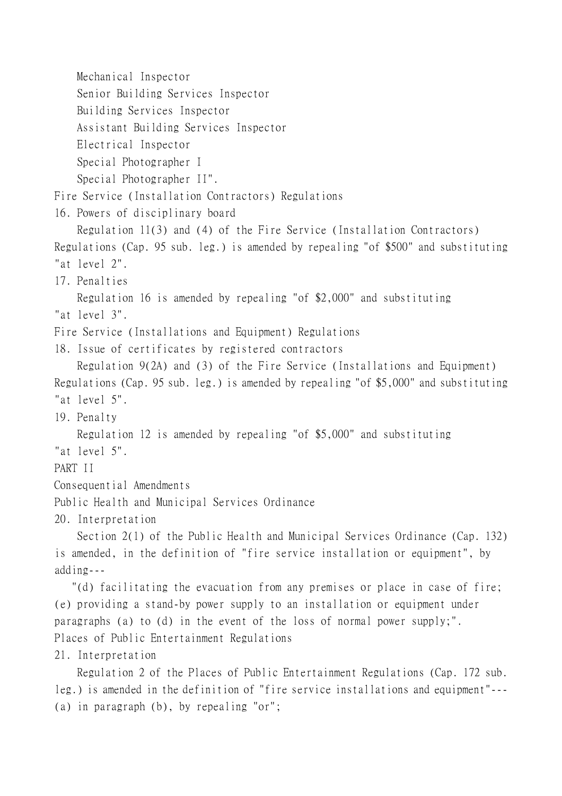Mechanical Inspector

Senior Building Services Inspector

Building Services Inspector

Assistant Building Services Inspector

Electrical Inspector

Special Photographer I

Special Photographer II".

Fire Service (Installation Contractors) Regulations

16. Powers of disciplinary board

Regulation 11(3) and (4) of the Fire Service (Installation Contractors) Regulations (Cap. 95 sub. leg.) is amended by repealing "of \$500" and substituting "at level 2".

17. Penalties

Regulation 16 is amended by repealing "of \$2,000" and substituting "at level 3".

Fire Service (Installations and Equipment) Regulations

18. Issue of certificates by registered contractors

Regulation 9(2A) and (3) of the Fire Service (Installations and Equipment) Regulations (Cap. 95 sub. leg.) is amended by repealing "of \$5,000" and substituting "at level 5".

19. Penalty

Regulation 12 is amended by repealing "of \$5,000" and substituting

"at level 5".

PART II

Consequential Amendments

Public Health and Municipal Services Ordinance

20. Interpretation

Section 2(1) of the Public Health and Municipal Services Ordinance (Cap. 132) is amended, in the definition of "fire service installation or equipment", by adding---

 "(d) facilitating the evacuation from any premises or place in case of fire; (e) providing a stand-by power supply to an installation or equipment under paragraphs (a) to (d) in the event of the loss of normal power supply;". Places of Public Entertainment Regulations

21. Interpretation

Regulation 2 of the Places of Public Entertainment Regulations (Cap. 172 sub. leg.) is amended in the definition of "fire service installations and equipment"--- (a) in paragraph (b), by repealing "or";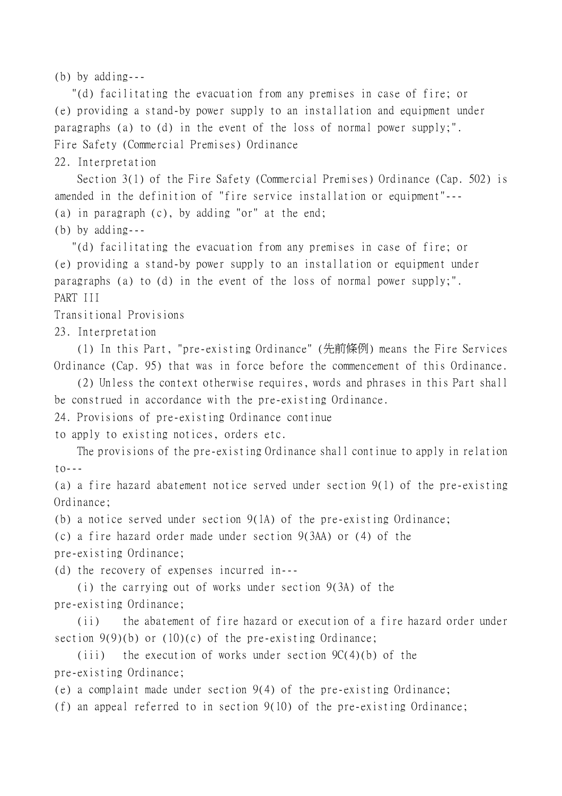(b) by adding---

 "(d) facilitating the evacuation from any premises in case of fire; or (e) providing a stand-by power supply to an installation and equipment under paragraphs (a) to (d) in the event of the loss of normal power supply;". Fire Safety (Commercial Premises) Ordinance

22. Interpretation

Section 3(1) of the Fire Safety (Commercial Premises) Ordinance (Cap. 502) is amended in the definition of "fire service installation or equipment"--- (a) in paragraph (c), by adding "or" at the end;

(b) by adding---

 "(d) facilitating the evacuation from any premises in case of fire; or (e) providing a stand-by power supply to an installation or equipment under paragraphs (a) to (d) in the event of the loss of normal power supply;". PART III

Transitional Provisions

23. Interpretation

(1) In this Part, "pre-existing Ordinance" (先前條例) means the Fire Services Ordinance (Cap. 95) that was in force before the commencement of this Ordinance.

(2) Unless the context otherwise requires, words and phrases in this Part shall be construed in accordance with the pre-existing Ordinance.

24. Provisions of pre-existing Ordinance continue

to apply to existing notices, orders etc.

The provisions of the pre-existing Ordinance shall continue to apply in relation to---

(a) a fire hazard abatement notice served under section 9(1) of the pre-existing Ordinance;

(b) a notice served under section 9(1A) of the pre-existing Ordinance;

(c) a fire hazard order made under section 9(3AA) or (4) of the

pre-existing Ordinance;

(d) the recovery of expenses incurred in---

(i) the carrying out of works under section 9(3A) of the pre-existing Ordinance;

(ii) the abatement of fire hazard or execution of a fire hazard order under section  $9(9)(b)$  or  $(10)(c)$  of the pre-existing Ordinance;

(iii) the execution of works under section  $9C(4)(b)$  of the pre-existing Ordinance;

(e) a complaint made under section 9(4) of the pre-existing Ordinance;

(f) an appeal referred to in section 9(10) of the pre-existing Ordinance;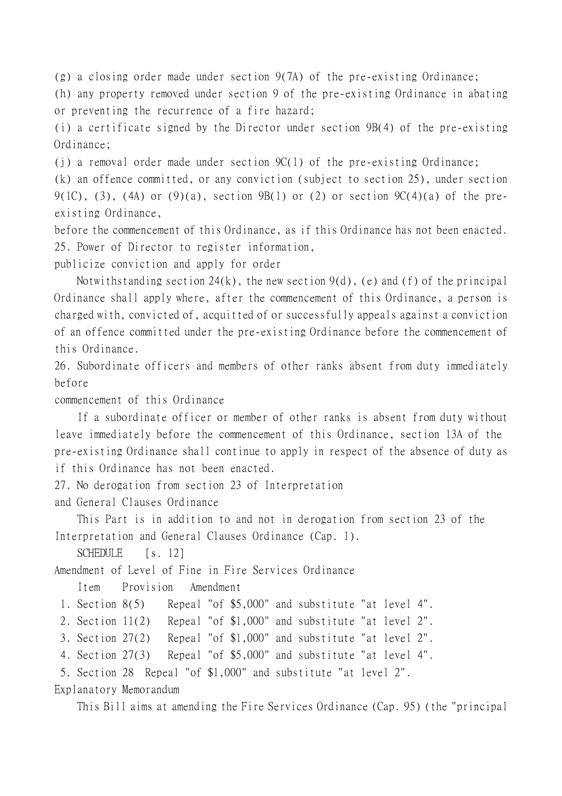(g) a closing order made under section 9(7A) of the pre-existing Ordinance;

(h) any property removed under section 9 of the pre-existing Ordinance in abating or preventing the recurrence of a fire hazard;

(i) a certificate signed by the Director under section 9B(4) of the pre-existing Ordinance;

(i) a removal order made under section  $9C(1)$  of the pre-existing Ordinance;

(k) an offence committed, or any conviction (subject to section 25), under section  $9(1C)$ , (3), (4A) or (9)(a), section 9B(1) or (2) or section  $9C(4)(a)$  of the preexisting Ordinance,

before the commencement of this Ordinance, as if this Ordinance has not been enacted. 25. Power of Director to register information,

publicize conviction and apply for order

Notwithstanding section  $24(k)$ , the new section  $9(d)$ , (e) and (f) of the principal Ordinance shall apply where, after the commencement of this Ordinance, a person is charged with, convicted of, acquitted of or successfully appeals against a conviction of an offence committed under the pre-existing Ordinance before the commencement of this Ordinance.

26. Subordinate officers and members of other ranks absent from duty immediately before

commencement of this Ordinance

If a subordinate officer or member of other ranks is absent from duty without leave immediately before the commencement of this Ordinance, section 13A of the pre-existing Ordinance shall continue to apply in respect of the absence of duty as if this Ordinance has not been enacted.

27. No derogation from section 23 of Interpretation

and General Clauses Ordinance

This Part is in addition to and not in derogation from section 23 of the Interpretation and General Clauses Ordinance (Cap. 1).

SCHEDULE [s. 12]

Amendment of Level of Fine in Fire Services Ordinance

Item Provision Amendment

1. Section 8(5) Repeal "of \$5,000" and substitute "at level 4".

2. Section 11(2) Repeal "of \$1,000" and substitute "at level 2".

3. Section 27(2) Repeal "of \$1,000" and substitute "at level 2".

4. Section 27(3) Repeal "of \$5,000" and substitute "at level 4".

5. Section 28 Repeal "of \$1,000" and substitute "at level 2".

Explanatory Memorandum

This Bill aims at amending the Fire Services Ordinance (Cap. 95) (the "principal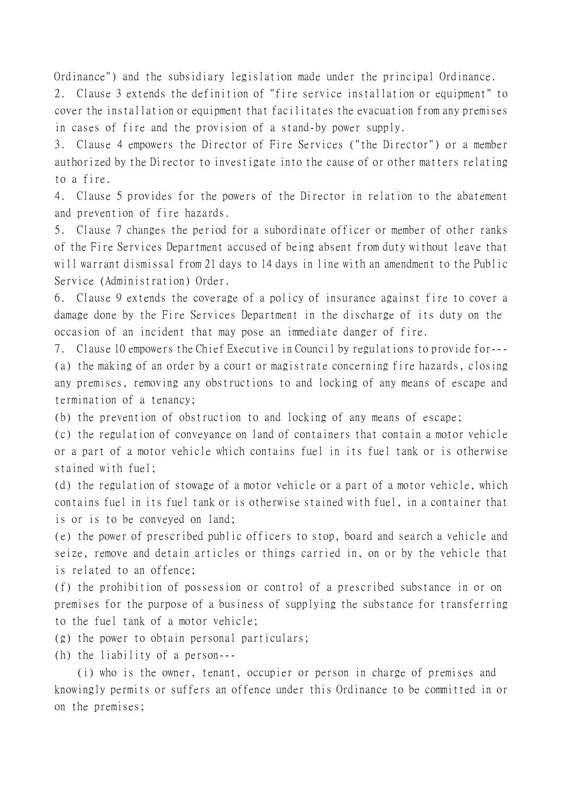Ordinance") and the subsidiary legislation made under the principal Ordinance.

2. Clause 3 extends the definition of "fire service installation or equipment" to cover the installation or equipment that facilitates the evacuation from any premises in cases of fire and the provision of a stand-by power supply.

3. Clause 4 empowers the Director of Fire Services ("the Director") or a member authorized by the Director to investigate into the cause of or other matters relating to a fire.

4. Clause 5 provides for the powers of the Director in relation to the abatement and prevention of fire hazards.

5. Clause 7 changes the period for a subordinate officer or member of other ranks of the Fire Services Department accused of being absent from duty without leave that will warrant dismissal from 21 days to 14 days in line with an amendment to the Public Service (Administration) Order.

6. Clause 9 extends the coverage of a policy of insurance against fire to cover a damage done by the Fire Services Department in the discharge of its duty on the occasion of an incident that may pose an immediate danger of fire.

7. Clause 10 empowers the Chief Executive in Council by regulations to provide for--- (a) the making of an order by a court or magistrate concerning fire hazards, closing any premises, removing any obstructions to and locking of any means of escape and termination of a tenancy;

(b) the prevention of obstruction to and locking of any means of escape;

(c) the regulation of conveyance on land of containers that contain a motor vehicle or a part of a motor vehicle which contains fuel in its fuel tank or is otherwise stained with fuel;

(d) the regulation of stowage of a motor vehicle or a part of a motor vehicle, which contains fuel in its fuel tank or is otherwise stained with fuel, in a container that is or is to be conveyed on land;

(e) the power of prescribed public officers to stop, board and search a vehicle and seize, remove and detain articles or things carried in, on or by the vehicle that is related to an offence;

(f) the prohibition of possession or control of a prescribed substance in or on premises for the purpose of a business of supplying the substance for transferring to the fuel tank of a motor vehicle;

(g) the power to obtain personal particulars;

(h) the liability of a person---

(i) who is the owner, tenant, occupier or person in charge of premises and knowingly permits or suffers an offence under this Ordinance to be committed in or on the premises;